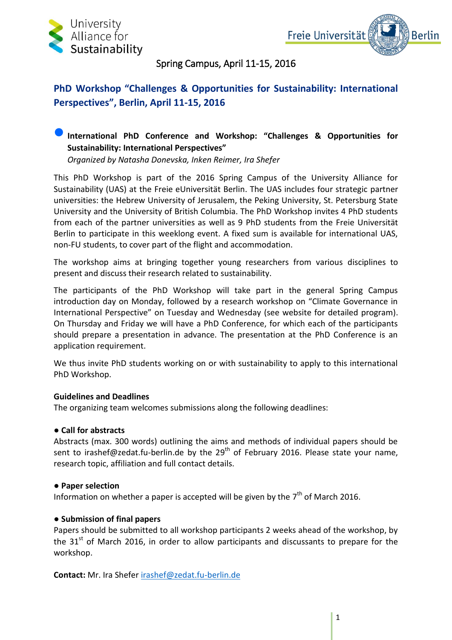



### Spring Campus, April 11-15, 2016

## **PhD Workshop "Challenges & Opportunities for Sustainability: International Perspectives", Berlin, April 11-15, 2016**

### **International PhD Conference and Workshop: "Challenges & Opportunities for Sustainability: International Perspectives"**

*Organized by Natasha Donevska, Inken Reimer, Ira Shefer*

This PhD Workshop is part of the 2016 Spring Campus of the University Alliance for Sustainability (UAS) at the Freie eUniversität Berlin. The UAS includes four strategic partner universities: the Hebrew University of Jerusalem, the Peking University, St. Petersburg State University and the University of British Columbia. The PhD Workshop invites 4 PhD students from each of the partner universities as well as 9 PhD students from the Freie Universität Berlin to participate in this weeklong event. A fixed sum is available for international UAS, non-FU students, to cover part of the flight and accommodation.

The workshop aims at bringing together young researchers from various disciplines to present and discuss their research related to sustainability.

The participants of the PhD Workshop will take part in the general Spring Campus introduction day on Monday, followed by a research workshop on "Climate Governance in International Perspective" on Tuesday and Wednesday (see website for detailed program). On Thursday and Friday we will have a PhD Conference, for which each of the participants should prepare a presentation in advance. The presentation at the PhD Conference is an application requirement.

We thus invite PhD students working on or with sustainability to apply to this international PhD Workshop.

#### **Guidelines and Deadlines**

The organizing team welcomes submissions along the following deadlines:

#### **● Call for abstracts**

Abstracts (max. 300 words) outlining the aims and methods of individual papers should be sent to irashef@zedat.fu-berlin.de by the 29<sup>th</sup> of February 2016. Please state your name, research topic, affiliation and full contact details.

#### **● Paper selection**

Information on whether a paper is accepted will be given by the  $7<sup>th</sup>$  of March 2016.

#### **● Submission of final papers**

Papers should be submitted to all workshop participants 2 weeks ahead of the workshop, by the  $31<sup>st</sup>$  of March 2016, in order to allow participants and discussants to prepare for the workshop.

**Contact:** Mr. Ira Shefer [irashef@zedat.fu-berlin.de](mailto:irashef@zedat.fu-berlin.de)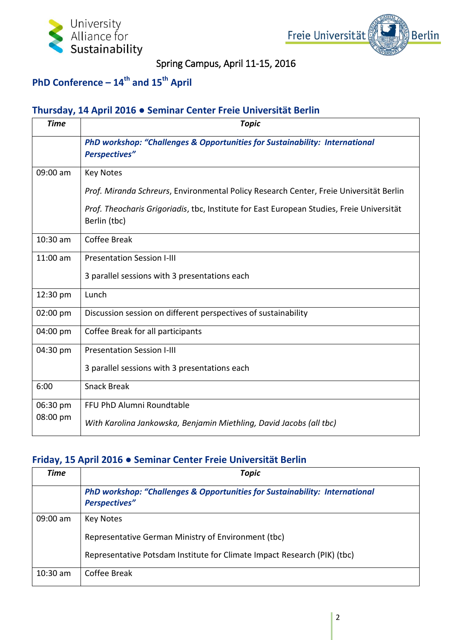



Spring Campus, April 11-15, 2016

## **PhD Conference – 14th and 15th April**

### **Thursday, 14 April 2016 ● Seminar Center Freie Universität Berlin**

| <b>Time</b> | <b>Topic</b>                                                                                              |
|-------------|-----------------------------------------------------------------------------------------------------------|
|             | PhD workshop: "Challenges & Opportunities for Sustainability: International<br><b>Perspectives"</b>       |
| 09:00 am    | <b>Key Notes</b>                                                                                          |
|             | Prof. Miranda Schreurs, Environmental Policy Research Center, Freie Universität Berlin                    |
|             | Prof. Theocharis Grigoriadis, tbc, Institute for East European Studies, Freie Universität<br>Berlin (tbc) |
| 10:30 am    | Coffee Break                                                                                              |
| $11:00$ am  | <b>Presentation Session I-III</b>                                                                         |
|             | 3 parallel sessions with 3 presentations each                                                             |
| 12:30 pm    | Lunch                                                                                                     |
| 02:00 pm    | Discussion session on different perspectives of sustainability                                            |
| 04:00 pm    | Coffee Break for all participants                                                                         |
| 04:30 pm    | <b>Presentation Session I-III</b>                                                                         |
|             | 3 parallel sessions with 3 presentations each                                                             |
| 6:00        | <b>Snack Break</b>                                                                                        |
| 06:30 pm    | FFU PhD Alumni Roundtable                                                                                 |
| 08:00 pm    | With Karolina Jankowska, Benjamin Miethling, David Jacobs (all tbc)                                       |

### **Friday, 15 April 2016 ● Seminar Center Freie Universität Berlin**

| <b>Time</b> | <b>Topic</b>                                                                                                   |
|-------------|----------------------------------------------------------------------------------------------------------------|
|             | <b>PhD workshop: "Challenges &amp; Opportunities for Sustainability: International</b><br><b>Perspectives"</b> |
| 09:00 am    | <b>Key Notes</b>                                                                                               |
|             | Representative German Ministry of Environment (tbc)                                                            |
|             | Representative Potsdam Institute for Climate Impact Research (PIK) (tbc)                                       |
| $10:30$ am  | Coffee Break                                                                                                   |